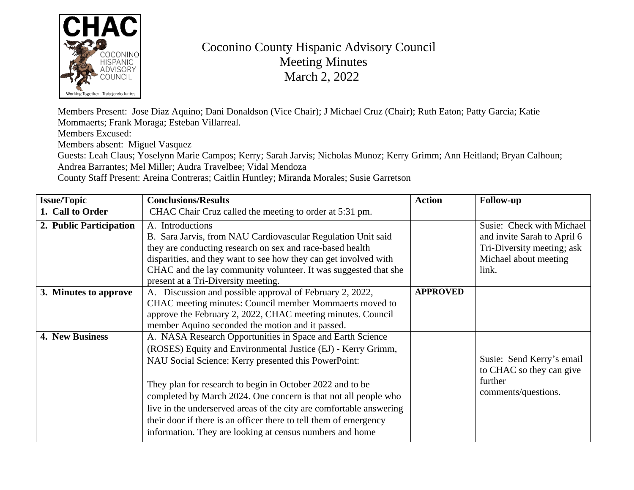

## Coconino County Hispanic Advisory Council Meeting Minutes March 2, 2022

Members Present: Jose Diaz Aquino; Dani Donaldson (Vice Chair); J Michael Cruz (Chair); Ruth Eaton; Patty Garcia; Katie Mommaerts; Frank Moraga; Esteban Villarreal.

Members Excused:

Members absent: Miguel Vasquez

Guests: Leah Claus; Yoselynn Marie Campos; Kerry; Sarah Jarvis; Nicholas Munoz; Kerry Grimm; Ann Heitland; Bryan Calhoun; Andrea Barrantes; Mel Miller; Audra Travelbee; Vidal Mendoza

County Staff Present: Areina Contreras; Caitlin Huntley; Miranda Morales; Susie Garretson

| <b>Issue/Topic</b>      | <b>Conclusions/Results</b>                                                                                                                                                                                                                                                                                                                                                                                                                                                                                                | <b>Action</b>   | <b>Follow-up</b>                                                                                                         |
|-------------------------|---------------------------------------------------------------------------------------------------------------------------------------------------------------------------------------------------------------------------------------------------------------------------------------------------------------------------------------------------------------------------------------------------------------------------------------------------------------------------------------------------------------------------|-----------------|--------------------------------------------------------------------------------------------------------------------------|
| 1. Call to Order        | CHAC Chair Cruz called the meeting to order at 5:31 pm.                                                                                                                                                                                                                                                                                                                                                                                                                                                                   |                 |                                                                                                                          |
| 2. Public Participation | A. Introductions<br>B. Sara Jarvis, from NAU Cardiovascular Regulation Unit said<br>they are conducting research on sex and race-based health<br>disparities, and they want to see how they can get involved with<br>CHAC and the lay community volunteer. It was suggested that she<br>present at a Tri-Diversity meeting.                                                                                                                                                                                               |                 | Susie: Check with Michael<br>and invite Sarah to April 6<br>Tri-Diversity meeting; ask<br>Michael about meeting<br>link. |
| 3. Minutes to approve   | Discussion and possible approval of February 2, 2022,<br>A.<br>CHAC meeting minutes: Council member Mommaerts moved to<br>approve the February 2, 2022, CHAC meeting minutes. Council<br>member Aquino seconded the motion and it passed.                                                                                                                                                                                                                                                                                 | <b>APPROVED</b> |                                                                                                                          |
| 4. New Business         | A. NASA Research Opportunities in Space and Earth Science<br>(ROSES) Equity and Environmental Justice (EJ) - Kerry Grimm,<br>NAU Social Science: Kerry presented this PowerPoint:<br>They plan for research to begin in October 2022 and to be<br>completed by March 2024. One concern is that not all people who<br>live in the underserved areas of the city are comfortable answering<br>their door if there is an officer there to tell them of emergency<br>information. They are looking at census numbers and home |                 | Susie: Send Kerry's email<br>to CHAC so they can give<br>further<br>comments/questions.                                  |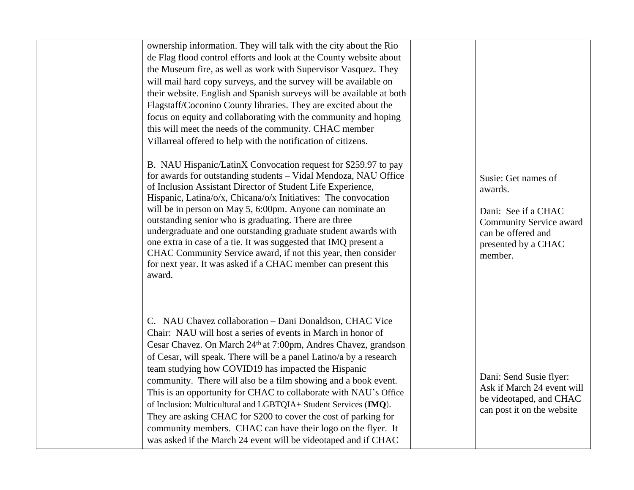| ownership information. They will talk with the city about the Rio<br>de Flag flood control efforts and look at the County website about<br>the Museum fire, as well as work with Supervisor Vasquez. They<br>will mail hard copy surveys, and the survey will be available on<br>their website. English and Spanish surveys will be available at both<br>Flagstaff/Coconino County libraries. They are excited about the<br>focus on equity and collaborating with the community and hoping<br>this will meet the needs of the community. CHAC member                                                                                                                                                                                             |                                                                                                                                          |  |
|---------------------------------------------------------------------------------------------------------------------------------------------------------------------------------------------------------------------------------------------------------------------------------------------------------------------------------------------------------------------------------------------------------------------------------------------------------------------------------------------------------------------------------------------------------------------------------------------------------------------------------------------------------------------------------------------------------------------------------------------------|------------------------------------------------------------------------------------------------------------------------------------------|--|
| Villarreal offered to help with the notification of citizens.<br>B. NAU Hispanic/LatinX Convocation request for \$259.97 to pay<br>for awards for outstanding students - Vidal Mendoza, NAU Office<br>of Inclusion Assistant Director of Student Life Experience,<br>Hispanic, Latina/o/x, Chicana/o/x Initiatives: The convocation<br>will be in person on May 5, 6:00pm. Anyone can nominate an<br>outstanding senior who is graduating. There are three<br>undergraduate and one outstanding graduate student awards with<br>one extra in case of a tie. It was suggested that IMQ present a<br>CHAC Community Service award, if not this year, then consider<br>for next year. It was asked if a CHAC member can present this<br>award.       | Susie: Get names of<br>awards.<br>Dani: See if a CHAC<br>Community Service award<br>can be offered and<br>presented by a CHAC<br>member. |  |
| C. NAU Chavez collaboration - Dani Donaldson, CHAC Vice<br>Chair: NAU will host a series of events in March in honor of<br>Cesar Chavez. On March 24 <sup>th</sup> at 7:00pm, Andres Chavez, grandson<br>of Cesar, will speak. There will be a panel Latino/a by a research<br>team studying how COVID19 has impacted the Hispanic<br>community. There will also be a film showing and a book event.<br>This is an opportunity for CHAC to collaborate with NAU's Office<br>of Inclusion: Multicultural and LGBTQIA+ Student Services (IMQ).<br>They are asking CHAC for \$200 to cover the cost of parking for<br>community members. CHAC can have their logo on the flyer. It<br>was asked if the March 24 event will be videotaped and if CHAC | Dani: Send Susie flyer:<br>Ask if March 24 event will<br>be videotaped, and CHAC<br>can post it on the website                           |  |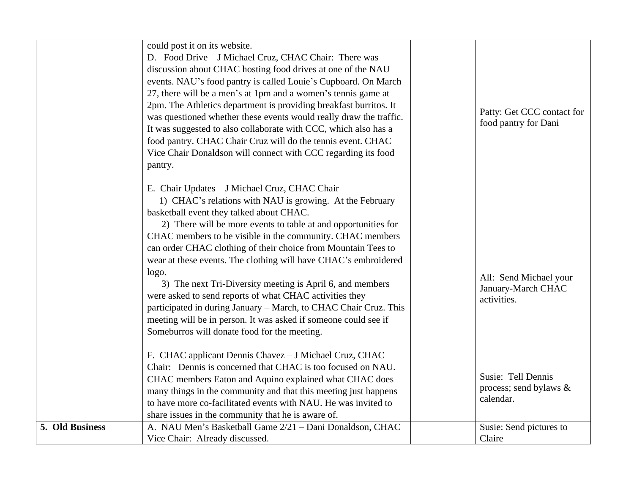|                 | could post it on its website.                                      |                            |
|-----------------|--------------------------------------------------------------------|----------------------------|
|                 | D. Food Drive - J Michael Cruz, CHAC Chair: There was              |                            |
|                 | discussion about CHAC hosting food drives at one of the NAU        |                            |
|                 | events. NAU's food pantry is called Louie's Cupboard. On March     |                            |
|                 | 27, there will be a men's at 1pm and a women's tennis game at      |                            |
|                 | 2pm. The Athletics department is providing breakfast burritos. It  |                            |
|                 | was questioned whether these events would really draw the traffic. | Patty: Get CCC contact for |
|                 | It was suggested to also collaborate with CCC, which also has a    | food pantry for Dani       |
|                 | food pantry. CHAC Chair Cruz will do the tennis event. CHAC        |                            |
|                 | Vice Chair Donaldson will connect with CCC regarding its food      |                            |
|                 | pantry.                                                            |                            |
|                 |                                                                    |                            |
|                 | E. Chair Updates - J Michael Cruz, CHAC Chair                      |                            |
|                 | 1) CHAC's relations with NAU is growing. At the February           |                            |
|                 | basketball event they talked about CHAC.                           |                            |
|                 | 2) There will be more events to table at and opportunities for     |                            |
|                 | CHAC members to be visible in the community. CHAC members          |                            |
|                 | can order CHAC clothing of their choice from Mountain Tees to      |                            |
|                 | wear at these events. The clothing will have CHAC's embroidered    |                            |
|                 | logo.                                                              | All: Send Michael your     |
|                 | 3) The next Tri-Diversity meeting is April 6, and members          | January-March CHAC         |
|                 | were asked to send reports of what CHAC activities they            | activities.                |
|                 | participated in during January - March, to CHAC Chair Cruz. This   |                            |
|                 | meeting will be in person. It was asked if someone could see if    |                            |
|                 | Someburros will donate food for the meeting.                       |                            |
|                 | F. CHAC applicant Dennis Chavez - J Michael Cruz, CHAC             |                            |
|                 | Chair: Dennis is concerned that CHAC is too focused on NAU.        |                            |
|                 | CHAC members Eaton and Aquino explained what CHAC does             | Susie: Tell Dennis         |
|                 | many things in the community and that this meeting just happens    | process; send bylaws $\&$  |
|                 | to have more co-facilitated events with NAU. He was invited to     | calendar.                  |
|                 | share issues in the community that he is aware of.                 |                            |
| 5. Old Business | A. NAU Men's Basketball Game 2/21 - Dani Donaldson, CHAC           | Susie: Send pictures to    |
|                 | Vice Chair: Already discussed.                                     | Claire                     |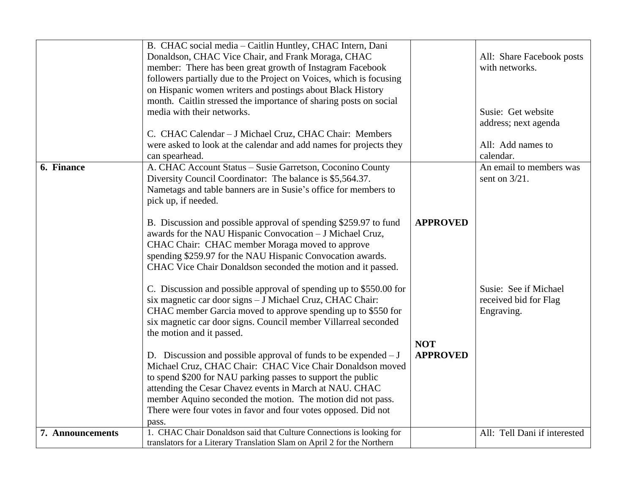|                  | B. CHAC social media - Caitlin Huntley, CHAC Intern, Dani<br>Donaldson, CHAC Vice Chair, and Frank Moraga, CHAC<br>member: There has been great growth of Instagram Facebook<br>followers partially due to the Project on Voices, which is focusing<br>on Hispanic women writers and postings about Black History<br>month. Caitlin stressed the importance of sharing posts on social<br>media with their networks.<br>C. CHAC Calendar - J Michael Cruz, CHAC Chair: Members<br>were asked to look at the calendar and add names for projects they<br>can spearhead.                                                                                                                                                                                                                                                                                                                                                                                                                                                                                                                                                                                          |                                                  | All: Share Facebook posts<br>with networks.<br>Susie: Get website<br>address; next agenda<br>All: Add names to<br>calendar. |
|------------------|-----------------------------------------------------------------------------------------------------------------------------------------------------------------------------------------------------------------------------------------------------------------------------------------------------------------------------------------------------------------------------------------------------------------------------------------------------------------------------------------------------------------------------------------------------------------------------------------------------------------------------------------------------------------------------------------------------------------------------------------------------------------------------------------------------------------------------------------------------------------------------------------------------------------------------------------------------------------------------------------------------------------------------------------------------------------------------------------------------------------------------------------------------------------|--------------------------------------------------|-----------------------------------------------------------------------------------------------------------------------------|
| 6. Finance       | A. CHAC Account Status - Susie Garretson, Coconino County<br>Diversity Council Coordinator: The balance is \$5,564.37.<br>Nametags and table banners are in Susie's office for members to<br>pick up, if needed.<br>B. Discussion and possible approval of spending \$259.97 to fund<br>awards for the NAU Hispanic Convocation - J Michael Cruz,<br>CHAC Chair: CHAC member Moraga moved to approve<br>spending \$259.97 for the NAU Hispanic Convocation awards.<br>CHAC Vice Chair Donaldson seconded the motion and it passed.<br>C. Discussion and possible approval of spending up to \$550.00 for<br>six magnetic car door signs - J Michael Cruz, CHAC Chair:<br>CHAC member Garcia moved to approve spending up to \$550 for<br>six magnetic car door signs. Council member Villarreal seconded<br>the motion and it passed.<br>D. Discussion and possible approval of funds to be expended $-J$<br>Michael Cruz, CHAC Chair: CHAC Vice Chair Donaldson moved<br>to spend \$200 for NAU parking passes to support the public<br>attending the Cesar Chavez events in March at NAU. CHAC<br>member Aquino seconded the motion. The motion did not pass. | <b>APPROVED</b><br><b>NOT</b><br><b>APPROVED</b> | An email to members was<br>sent on $3/21$ .<br>Susie: See if Michael<br>received bid for Flag<br>Engraving.                 |
| 7. Announcements | There were four votes in favor and four votes opposed. Did not<br>pass.<br>1. CHAC Chair Donaldson said that Culture Connections is looking for<br>translators for a Literary Translation Slam on April 2 for the Northern                                                                                                                                                                                                                                                                                                                                                                                                                                                                                                                                                                                                                                                                                                                                                                                                                                                                                                                                      |                                                  | All: Tell Dani if interested                                                                                                |